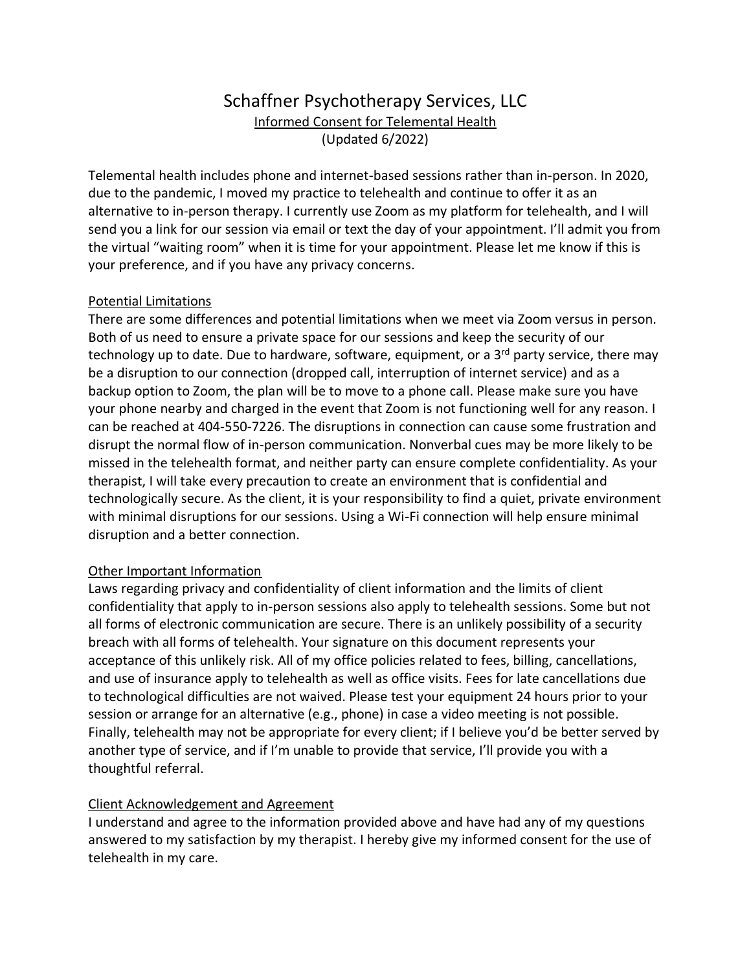## Schaffner Psychotherapy Services, LLC Informed Consent for Telemental Health (Updated 6/2022)

Telemental health includes phone and internet-based sessions rather than in-person. In 2020, due to the pandemic, I moved my practice to telehealth and continue to offer it as an alternative to in-person therapy. I currently use Zoom as my platform for telehealth, and I will send you a link for our session via email or text the day of your appointment. I'll admit you from the virtual "waiting room" when it is time for your appointment. Please let me know if this is your preference, and if you have any privacy concerns.

## Potential Limitations

There are some differences and potential limitations when we meet via Zoom versus in person. Both of us need to ensure a private space for our sessions and keep the security of our technology up to date. Due to hardware, software, equipment, or a  $3<sup>rd</sup>$  party service, there may be a disruption to our connection (dropped call, interruption of internet service) and as a backup option to Zoom, the plan will be to move to a phone call. Please make sure you have your phone nearby and charged in the event that Zoom is not functioning well for any reason. I can be reached at 404-550-7226. The disruptions in connection can cause some frustration and disrupt the normal flow of in-person communication. Nonverbal cues may be more likely to be missed in the telehealth format, and neither party can ensure complete confidentiality. As your therapist, I will take every precaution to create an environment that is confidential and technologically secure. As the client, it is your responsibility to find a quiet, private environment with minimal disruptions for our sessions. Using a Wi-Fi connection will help ensure minimal disruption and a better connection.

## Other Important Information

Laws regarding privacy and confidentiality of client information and the limits of client confidentiality that apply to in-person sessions also apply to telehealth sessions. Some but not all forms of electronic communication are secure. There is an unlikely possibility of a security breach with all forms of telehealth. Your signature on this document represents your acceptance of this unlikely risk. All of my office policies related to fees, billing, cancellations, and use of insurance apply to telehealth as well as office visits. Fees for late cancellations due to technological difficulties are not waived. Please test your equipment 24 hours prior to your session or arrange for an alternative (e.g., phone) in case a video meeting is not possible. Finally, telehealth may not be appropriate for every client; if I believe you'd be better served by another type of service, and if I'm unable to provide that service, I'll provide you with a thoughtful referral.

## Client Acknowledgement and Agreement

I understand and agree to the information provided above and have had any of my questions answered to my satisfaction by my therapist. I hereby give my informed consent for the use of telehealth in my care.